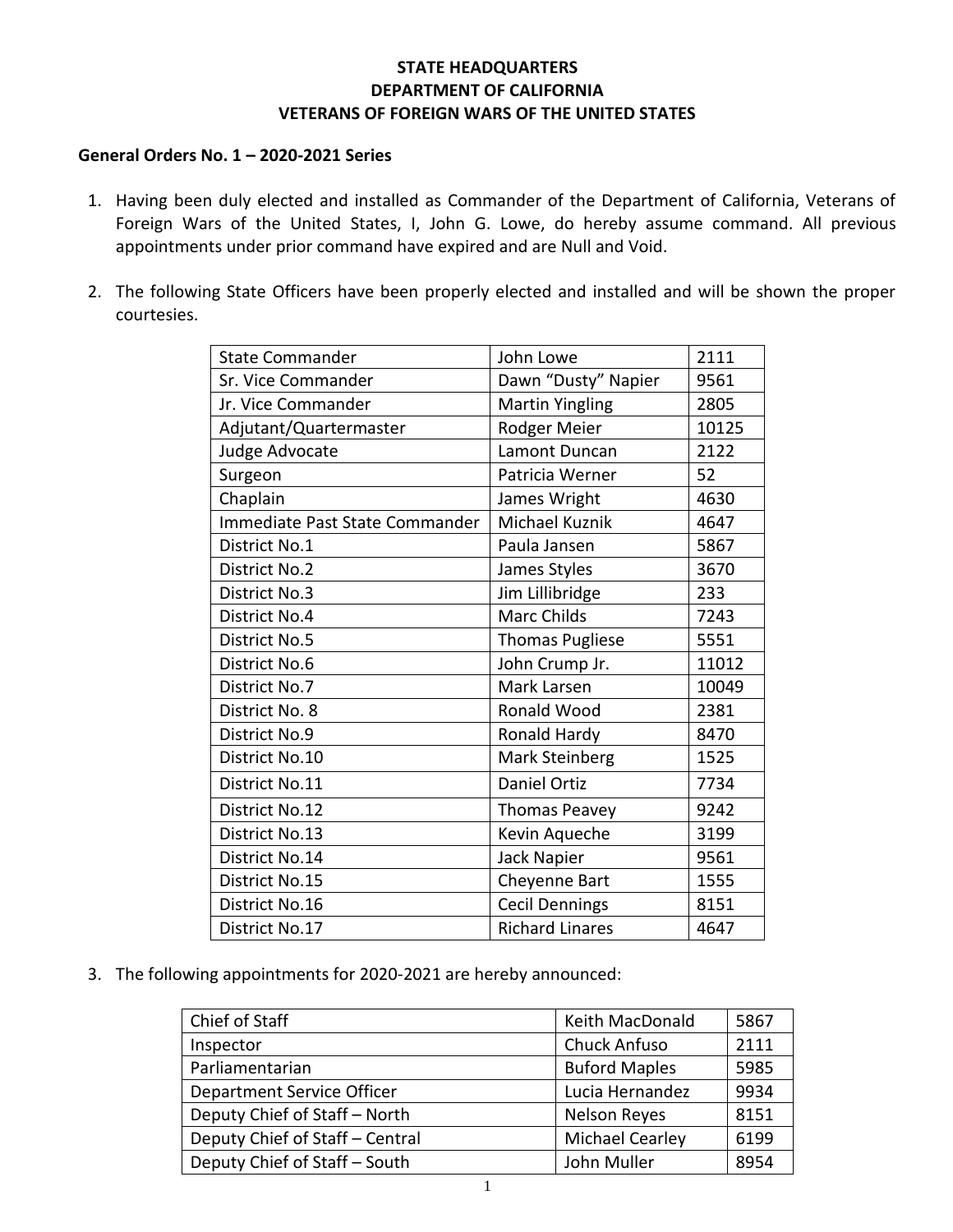## **STATE HEADQUARTERS DEPARTMENT OF CALIFORNIA VETERANS OF FOREIGN WARS OF THE UNITED STATES**

## **General Orders No. 1 – 2020-2021 Series**

- 1. Having been duly elected and installed as Commander of the Department of California, Veterans of Foreign Wars of the United States, I, John G. Lowe, do hereby assume command. All previous appointments under prior command have expired and are Null and Void.
- 2. The following State Officers have been properly elected and installed and will be shown the proper courtesies.

| <b>State Commander</b>         | John Lowe              | 2111  |
|--------------------------------|------------------------|-------|
| Sr. Vice Commander             | Dawn "Dusty" Napier    | 9561  |
| Jr. Vice Commander             | <b>Martin Yingling</b> | 2805  |
| Adjutant/Quartermaster         | Rodger Meier           | 10125 |
| Judge Advocate                 | Lamont Duncan          | 2122  |
| Surgeon                        | Patricia Werner        | 52    |
| Chaplain                       | James Wright           | 4630  |
| Immediate Past State Commander | Michael Kuznik         | 4647  |
| District No.1                  | Paula Jansen           | 5867  |
| <b>District No.2</b>           | James Styles           | 3670  |
| <b>District No.3</b>           | Jim Lillibridge        | 233   |
| <b>District No.4</b>           | <b>Marc Childs</b>     | 7243  |
| <b>District No.5</b>           | <b>Thomas Pugliese</b> | 5551  |
| District No.6                  | John Crump Jr.         | 11012 |
| District No.7                  | Mark Larsen            | 10049 |
| District No. 8                 | Ronald Wood            | 2381  |
| <b>District No.9</b>           | Ronald Hardy           | 8470  |
| District No.10                 | Mark Steinberg         | 1525  |
| District No.11                 | Daniel Ortiz           | 7734  |
| District No.12                 | <b>Thomas Peavey</b>   | 9242  |
| District No.13                 | Kevin Aqueche          | 3199  |
| District No.14                 | Jack Napier            | 9561  |
| District No.15                 | Cheyenne Bart          | 1555  |
| District No.16                 | <b>Cecil Dennings</b>  | 8151  |
| District No.17                 | <b>Richard Linares</b> | 4647  |

3. The following appointments for 2020-2021 are hereby announced:

| Chief of Staff                    | Keith MacDonald        | 5867 |
|-----------------------------------|------------------------|------|
| Inspector                         | Chuck Anfuso           | 2111 |
| Parliamentarian                   | <b>Buford Maples</b>   | 5985 |
| <b>Department Service Officer</b> | Lucia Hernandez        | 9934 |
| Deputy Chief of Staff - North     | <b>Nelson Reyes</b>    | 8151 |
| Deputy Chief of Staff - Central   | <b>Michael Cearley</b> | 6199 |
| Deputy Chief of Staff - South     | John Muller            | 8954 |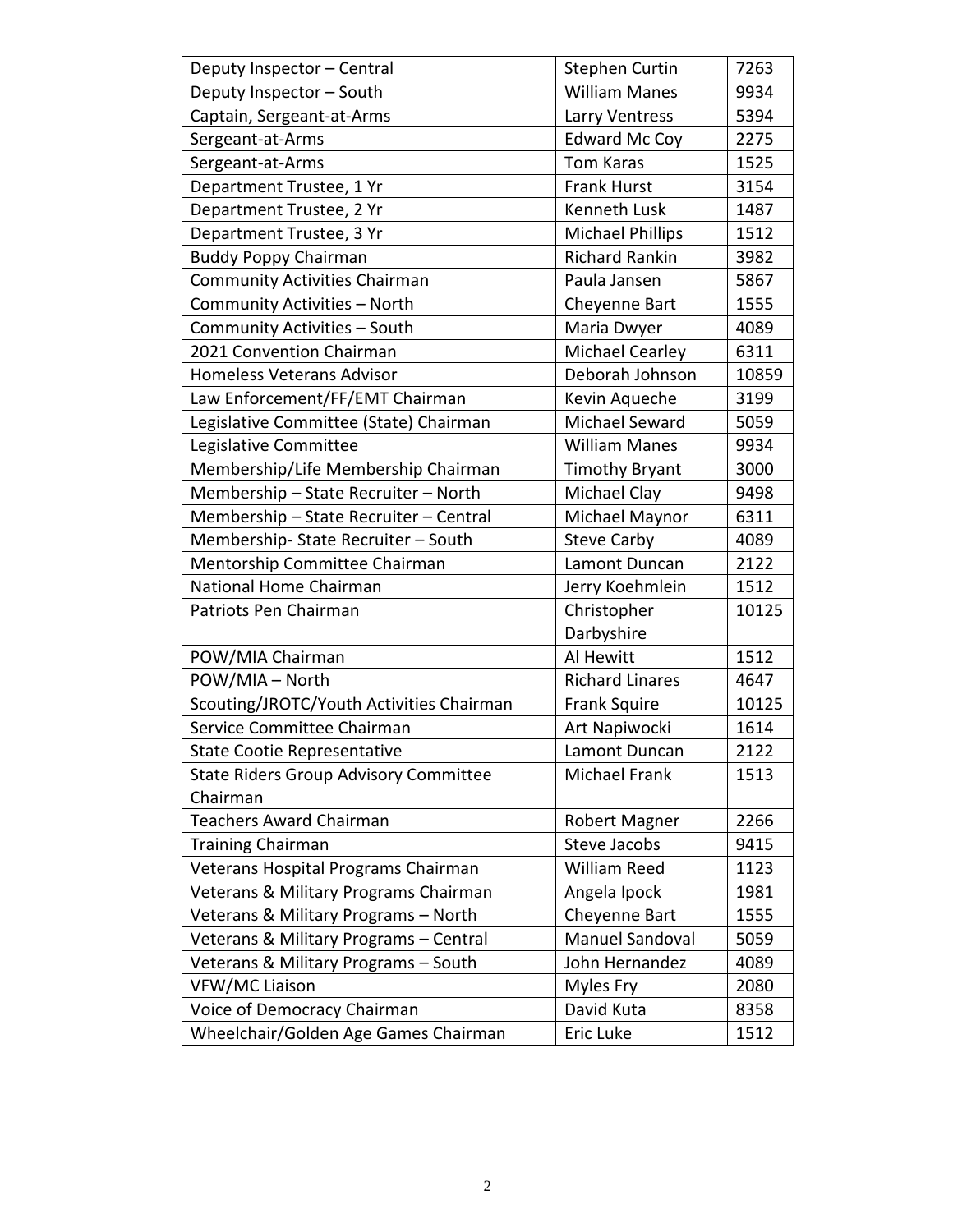| Deputy Inspector - Central                   | <b>Stephen Curtin</b>   | 7263  |
|----------------------------------------------|-------------------------|-------|
| Deputy Inspector - South                     | <b>William Manes</b>    | 9934  |
| Captain, Sergeant-at-Arms                    | Larry Ventress          | 5394  |
| Sergeant-at-Arms                             | <b>Edward Mc Coy</b>    | 2275  |
| Sergeant-at-Arms                             | <b>Tom Karas</b>        | 1525  |
| Department Trustee, 1 Yr                     | <b>Frank Hurst</b>      | 3154  |
| Department Trustee, 2 Yr                     | <b>Kenneth Lusk</b>     | 1487  |
| Department Trustee, 3 Yr                     | <b>Michael Phillips</b> | 1512  |
| <b>Buddy Poppy Chairman</b>                  | <b>Richard Rankin</b>   | 3982  |
| <b>Community Activities Chairman</b>         | Paula Jansen            | 5867  |
| Community Activities - North                 | Cheyenne Bart           | 1555  |
| Community Activities - South                 | Maria Dwyer             | 4089  |
| 2021 Convention Chairman                     | Michael Cearley         | 6311  |
| <b>Homeless Veterans Advisor</b>             | Deborah Johnson         | 10859 |
| Law Enforcement/FF/EMT Chairman              | Kevin Aqueche           | 3199  |
| Legislative Committee (State) Chairman       | Michael Seward          | 5059  |
| Legislative Committee                        | <b>William Manes</b>    | 9934  |
| Membership/Life Membership Chairman          | <b>Timothy Bryant</b>   | 3000  |
| Membership - State Recruiter - North         | Michael Clay            | 9498  |
| Membership - State Recruiter - Central       | Michael Maynor          | 6311  |
| Membership-State Recruiter - South           | <b>Steve Carby</b>      | 4089  |
| Mentorship Committee Chairman                | Lamont Duncan           | 2122  |
| National Home Chairman                       | Jerry Koehmlein         | 1512  |
| Patriots Pen Chairman                        | Christopher             | 10125 |
|                                              | Darbyshire              |       |
| POW/MIA Chairman                             | Al Hewitt               | 1512  |
| POW/MIA - North                              | <b>Richard Linares</b>  | 4647  |
| Scouting/JROTC/Youth Activities Chairman     | <b>Frank Squire</b>     | 10125 |
| Service Committee Chairman                   | Art Napiwocki           | 1614  |
| <b>State Cootie Representative</b>           | Lamont Duncan           | 2122  |
| <b>State Riders Group Advisory Committee</b> | Michael Frank           | 1513  |
| Chairman                                     |                         |       |
| <b>Teachers Award Chairman</b>               | Robert Magner           | 2266  |
| <b>Training Chairman</b>                     | <b>Steve Jacobs</b>     | 9415  |
| Veterans Hospital Programs Chairman          | William Reed            | 1123  |
| Veterans & Military Programs Chairman        | Angela Ipock            | 1981  |
| Veterans & Military Programs - North         | Cheyenne Bart           | 1555  |
| Veterans & Military Programs - Central       | Manuel Sandoval         | 5059  |
| Veterans & Military Programs - South         | John Hernandez          | 4089  |
| VFW/MC Liaison                               | Myles Fry               | 2080  |
| Voice of Democracy Chairman                  | David Kuta              | 8358  |
| Wheelchair/Golden Age Games Chairman         | Eric Luke               | 1512  |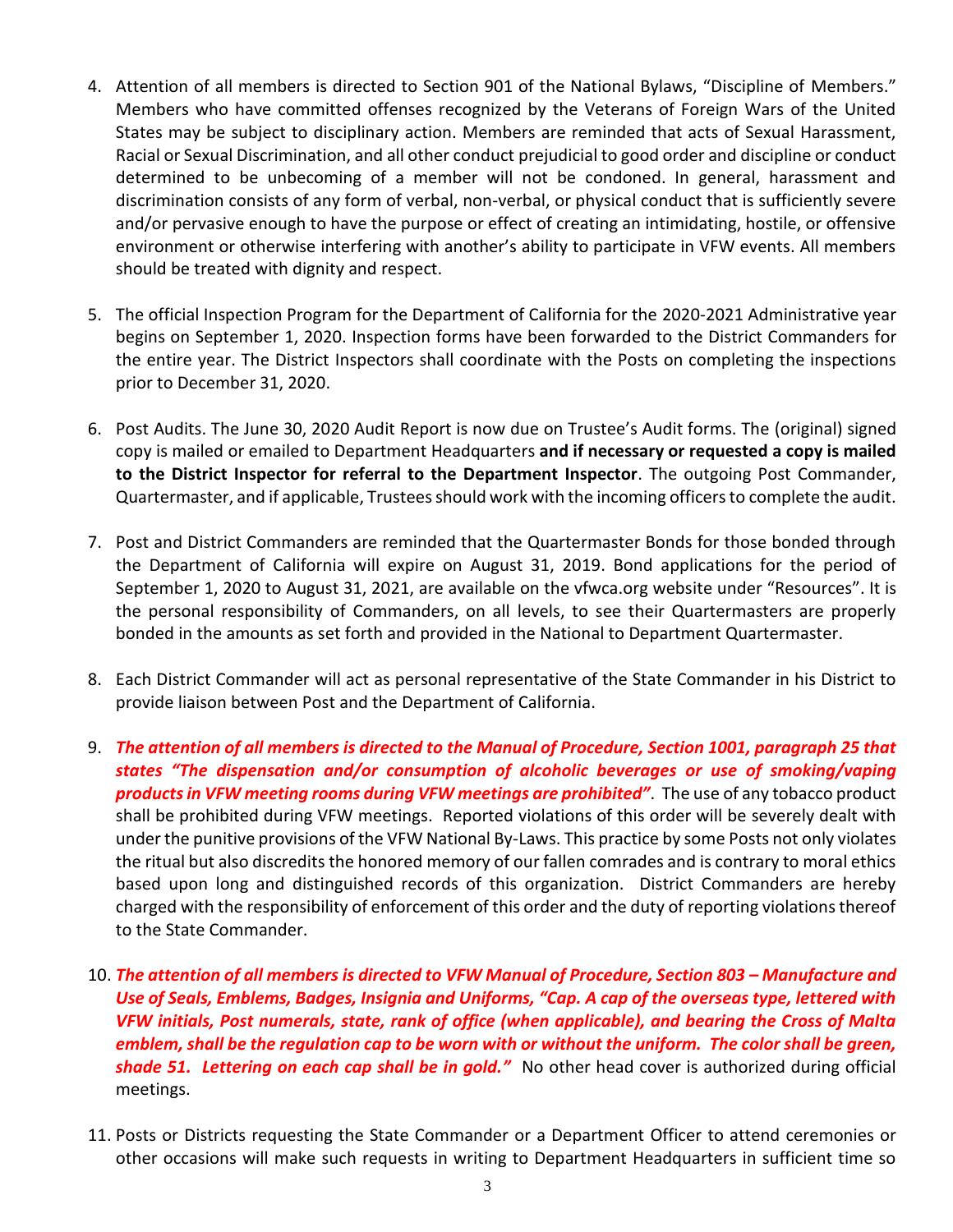- 4. Attention of all members is directed to Section 901 of the National Bylaws, "Discipline of Members." Members who have committed offenses recognized by the Veterans of Foreign Wars of the United States may be subject to disciplinary action. Members are reminded that acts of Sexual Harassment, Racial or Sexual Discrimination, and all other conduct prejudicial to good order and discipline or conduct determined to be unbecoming of a member will not be condoned. In general, harassment and discrimination consists of any form of verbal, non-verbal, or physical conduct that is sufficiently severe and/or pervasive enough to have the purpose or effect of creating an intimidating, hostile, or offensive environment or otherwise interfering with another's ability to participate in VFW events. All members should be treated with dignity and respect.
- 5. The official Inspection Program for the Department of California for the 2020-2021 Administrative year begins on September 1, 2020. Inspection forms have been forwarded to the District Commanders for the entire year. The District Inspectors shall coordinate with the Posts on completing the inspections prior to December 31, 2020.
- 6. Post Audits. The June 30, 2020 Audit Report is now due on Trustee's Audit forms. The (original) signed copy is mailed or emailed to Department Headquarters **and if necessary or requested a copy is mailed to the District Inspector for referral to the Department Inspector**. The outgoing Post Commander, Quartermaster, and if applicable, Trustees should work with the incoming officers to complete the audit.
- 7. Post and District Commanders are reminded that the Quartermaster Bonds for those bonded through the Department of California will expire on August 31, 2019. Bond applications for the period of September 1, 2020 to August 31, 2021, are available on the vfwca.org website under "Resources". It is the personal responsibility of Commanders, on all levels, to see their Quartermasters are properly bonded in the amounts as set forth and provided in the National to Department Quartermaster.
- 8. Each District Commander will act as personal representative of the State Commander in his District to provide liaison between Post and the Department of California.
- 9. *The attention of all members is directed to the Manual of Procedure, Section 1001, paragraph 25 that states "The dispensation and/or consumption of alcoholic beverages or use of smoking/vaping products in VFW meeting rooms during VFW meetings are prohibited"*. The use of any tobacco product shall be prohibited during VFW meetings. Reported violations of this order will be severely dealt with under the punitive provisions of the VFW National By-Laws. This practice by some Posts not only violates the ritual but also discredits the honored memory of our fallen comrades and is contrary to moral ethics based upon long and distinguished records of this organization. District Commanders are hereby charged with the responsibility of enforcement of this order and the duty of reporting violations thereof to the State Commander.
- 10. *The attention of all members is directed to VFW Manual of Procedure, Section 803 – Manufacture and Use of Seals, Emblems, Badges, Insignia and Uniforms, "Cap. A cap of the overseas type, lettered with VFW initials, Post numerals, state, rank of office (when applicable), and bearing the Cross of Malta emblem, shall be the regulation cap to be worn with or without the uniform. The color shall be green, shade 51. Lettering on each cap shall be in gold."* No other head cover is authorized during official meetings.
- 11. Posts or Districts requesting the State Commander or a Department Officer to attend ceremonies or other occasions will make such requests in writing to Department Headquarters in sufficient time so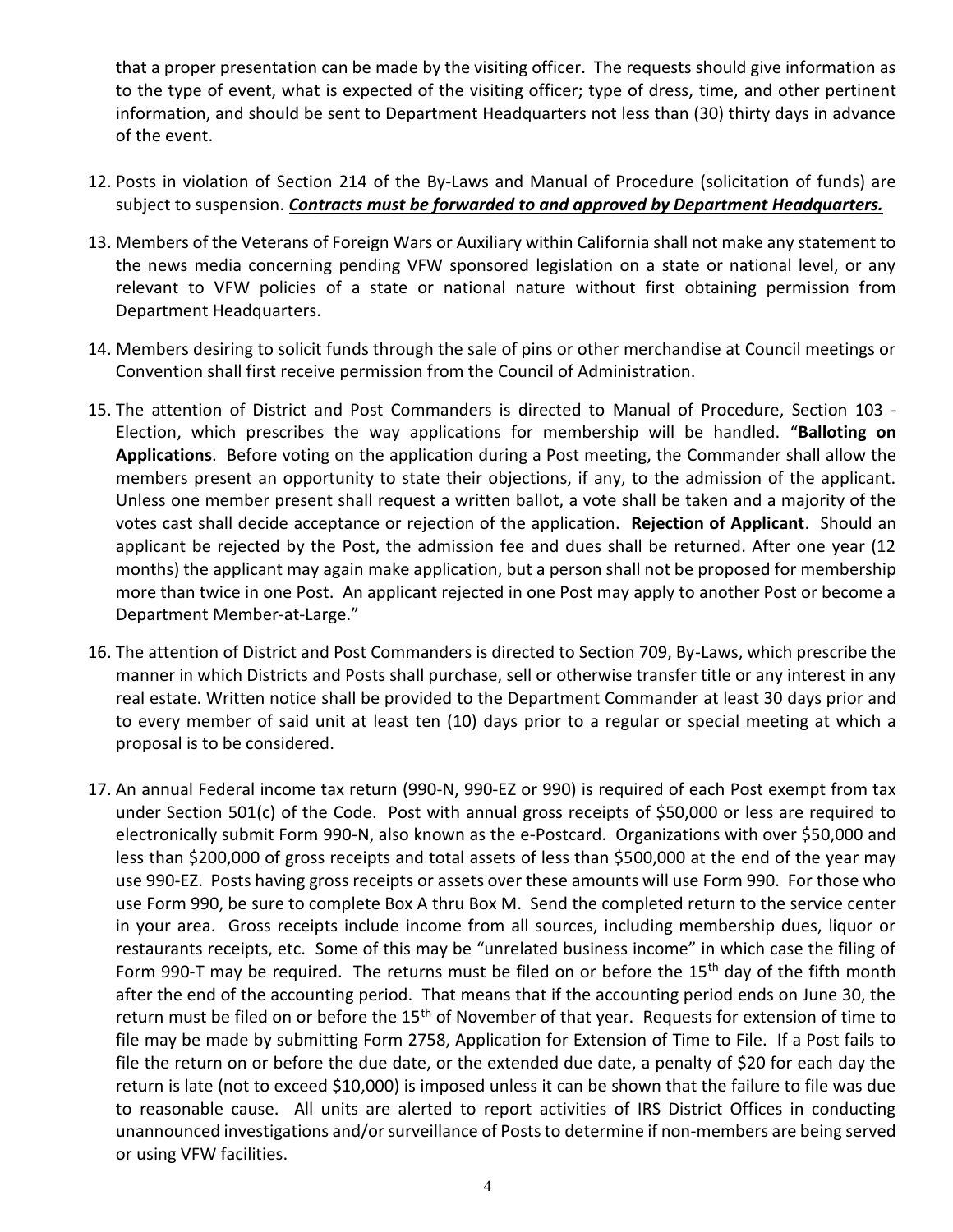that a proper presentation can be made by the visiting officer. The requests should give information as to the type of event, what is expected of the visiting officer; type of dress, time, and other pertinent information, and should be sent to Department Headquarters not less than (30) thirty days in advance of the event.

- 12. Posts in violation of Section 214 of the By-Laws and Manual of Procedure (solicitation of funds) are subject to suspension. *Contracts must be forwarded to and approved by Department Headquarters.*
- 13. Members of the Veterans of Foreign Wars or Auxiliary within California shall not make any statement to the news media concerning pending VFW sponsored legislation on a state or national level, or any relevant to VFW policies of a state or national nature without first obtaining permission from Department Headquarters.
- 14. Members desiring to solicit funds through the sale of pins or other merchandise at Council meetings or Convention shall first receive permission from the Council of Administration.
- 15. The attention of District and Post Commanders is directed to Manual of Procedure, Section 103 Election, which prescribes the way applications for membership will be handled. "**Balloting on Applications**. Before voting on the application during a Post meeting, the Commander shall allow the members present an opportunity to state their objections, if any, to the admission of the applicant. Unless one member present shall request a written ballot, a vote shall be taken and a majority of the votes cast shall decide acceptance or rejection of the application. **Rejection of Applicant**. Should an applicant be rejected by the Post, the admission fee and dues shall be returned. After one year (12 months) the applicant may again make application, but a person shall not be proposed for membership more than twice in one Post. An applicant rejected in one Post may apply to another Post or become a Department Member-at-Large."
- 16. The attention of District and Post Commanders is directed to Section 709, By-Laws, which prescribe the manner in which Districts and Posts shall purchase, sell or otherwise transfer title or any interest in any real estate. Written notice shall be provided to the Department Commander at least 30 days prior and to every member of said unit at least ten (10) days prior to a regular or special meeting at which a proposal is to be considered.
- 17. An annual Federal income tax return (990-N, 990-EZ or 990) is required of each Post exempt from tax under Section 501(c) of the Code. Post with annual gross receipts of \$50,000 or less are required to electronically submit Form 990-N, also known as the e-Postcard. Organizations with over \$50,000 and less than \$200,000 of gross receipts and total assets of less than \$500,000 at the end of the year may use 990-EZ. Posts having gross receipts or assets over these amounts will use Form 990. For those who use Form 990, be sure to complete Box A thru Box M. Send the completed return to the service center in your area. Gross receipts include income from all sources, including membership dues, liquor or restaurants receipts, etc. Some of this may be "unrelated business income" in which case the filing of Form 990-T may be required. The returns must be filed on or before the 15<sup>th</sup> day of the fifth month after the end of the accounting period. That means that if the accounting period ends on June 30, the return must be filed on or before the 15<sup>th</sup> of November of that year. Requests for extension of time to file may be made by submitting Form 2758, Application for Extension of Time to File. If a Post fails to file the return on or before the due date, or the extended due date, a penalty of \$20 for each day the return is late (not to exceed \$10,000) is imposed unless it can be shown that the failure to file was due to reasonable cause. All units are alerted to report activities of IRS District Offices in conducting unannounced investigations and/or surveillance of Posts to determine if non-members are being served or using VFW facilities.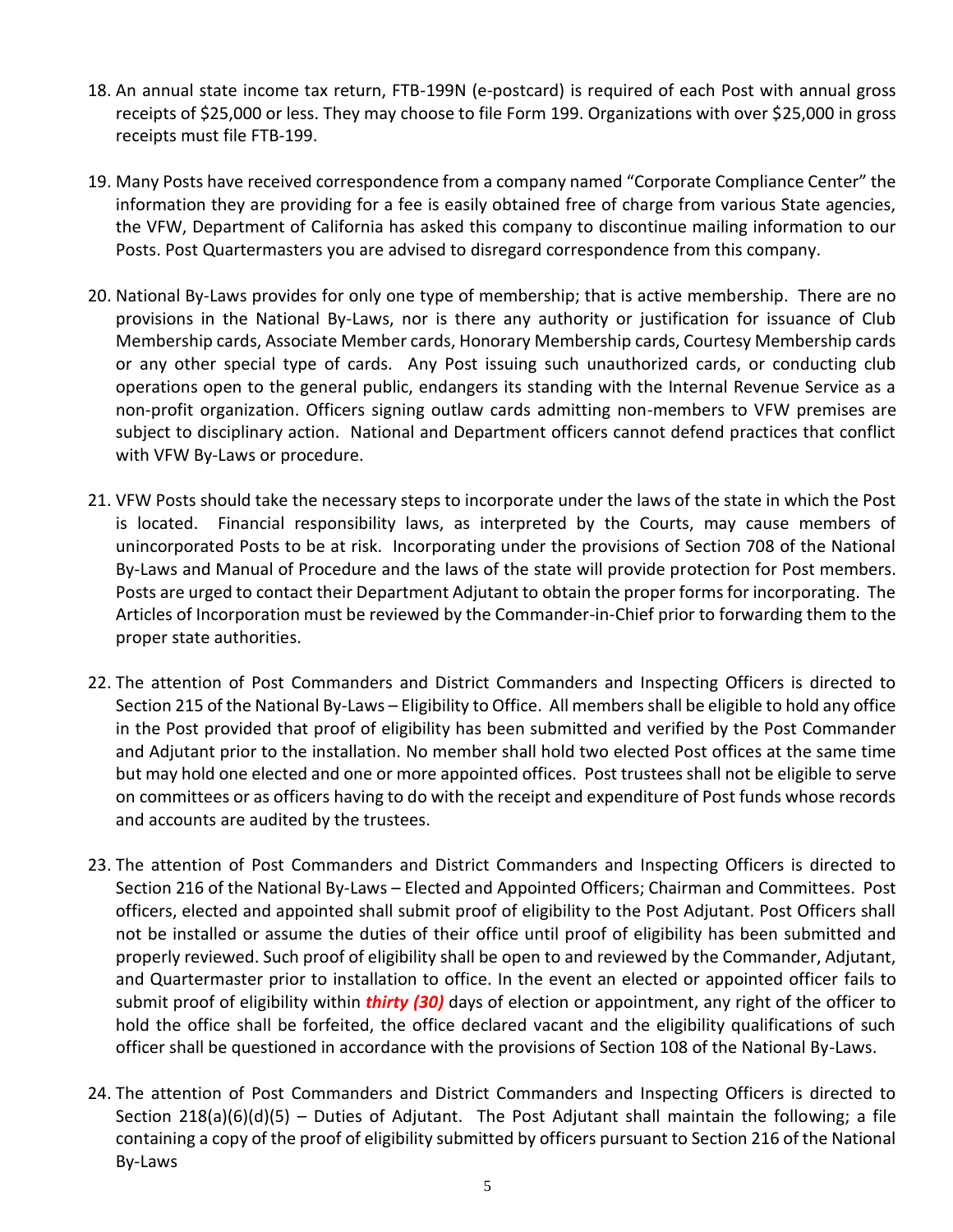- 18. An annual state income tax return, FTB-199N (e-postcard) is required of each Post with annual gross receipts of \$25,000 or less. They may choose to file Form 199. Organizations with over \$25,000 in gross receipts must file FTB-199.
- 19. Many Posts have received correspondence from a company named "Corporate Compliance Center" the information they are providing for a fee is easily obtained free of charge from various State agencies, the VFW, Department of California has asked this company to discontinue mailing information to our Posts. Post Quartermasters you are advised to disregard correspondence from this company.
- 20. National By-Laws provides for only one type of membership; that is active membership. There are no provisions in the National By-Laws, nor is there any authority or justification for issuance of Club Membership cards, Associate Member cards, Honorary Membership cards, Courtesy Membership cards or any other special type of cards. Any Post issuing such unauthorized cards, or conducting club operations open to the general public, endangers its standing with the Internal Revenue Service as a non-profit organization. Officers signing outlaw cards admitting non-members to VFW premises are subject to disciplinary action. National and Department officers cannot defend practices that conflict with VFW By-Laws or procedure.
- 21. VFW Posts should take the necessary steps to incorporate under the laws of the state in which the Post is located. Financial responsibility laws, as interpreted by the Courts, may cause members of unincorporated Posts to be at risk. Incorporating under the provisions of Section 708 of the National By-Laws and Manual of Procedure and the laws of the state will provide protection for Post members. Posts are urged to contact their Department Adjutant to obtain the proper forms for incorporating. The Articles of Incorporation must be reviewed by the Commander-in-Chief prior to forwarding them to the proper state authorities.
- 22. The attention of Post Commanders and District Commanders and Inspecting Officers is directed to Section 215 of the National By-Laws – Eligibility to Office. All members shall be eligible to hold any office in the Post provided that proof of eligibility has been submitted and verified by the Post Commander and Adjutant prior to the installation. No member shall hold two elected Post offices at the same time but may hold one elected and one or more appointed offices. Post trustees shall not be eligible to serve on committees or as officers having to do with the receipt and expenditure of Post funds whose records and accounts are audited by the trustees.
- 23. The attention of Post Commanders and District Commanders and Inspecting Officers is directed to Section 216 of the National By-Laws – Elected and Appointed Officers; Chairman and Committees. Post officers, elected and appointed shall submit proof of eligibility to the Post Adjutant. Post Officers shall not be installed or assume the duties of their office until proof of eligibility has been submitted and properly reviewed. Such proof of eligibility shall be open to and reviewed by the Commander, Adjutant, and Quartermaster prior to installation to office. In the event an elected or appointed officer fails to submit proof of eligibility within *thirty (30)* days of election or appointment, any right of the officer to hold the office shall be forfeited, the office declared vacant and the eligibility qualifications of such officer shall be questioned in accordance with the provisions of Section 108 of the National By-Laws.
- 24. The attention of Post Commanders and District Commanders and Inspecting Officers is directed to Section 218(a)(6)(d)(5) – Duties of Adjutant. The Post Adjutant shall maintain the following; a file containing a copy of the proof of eligibility submitted by officers pursuant to Section 216 of the National By-Laws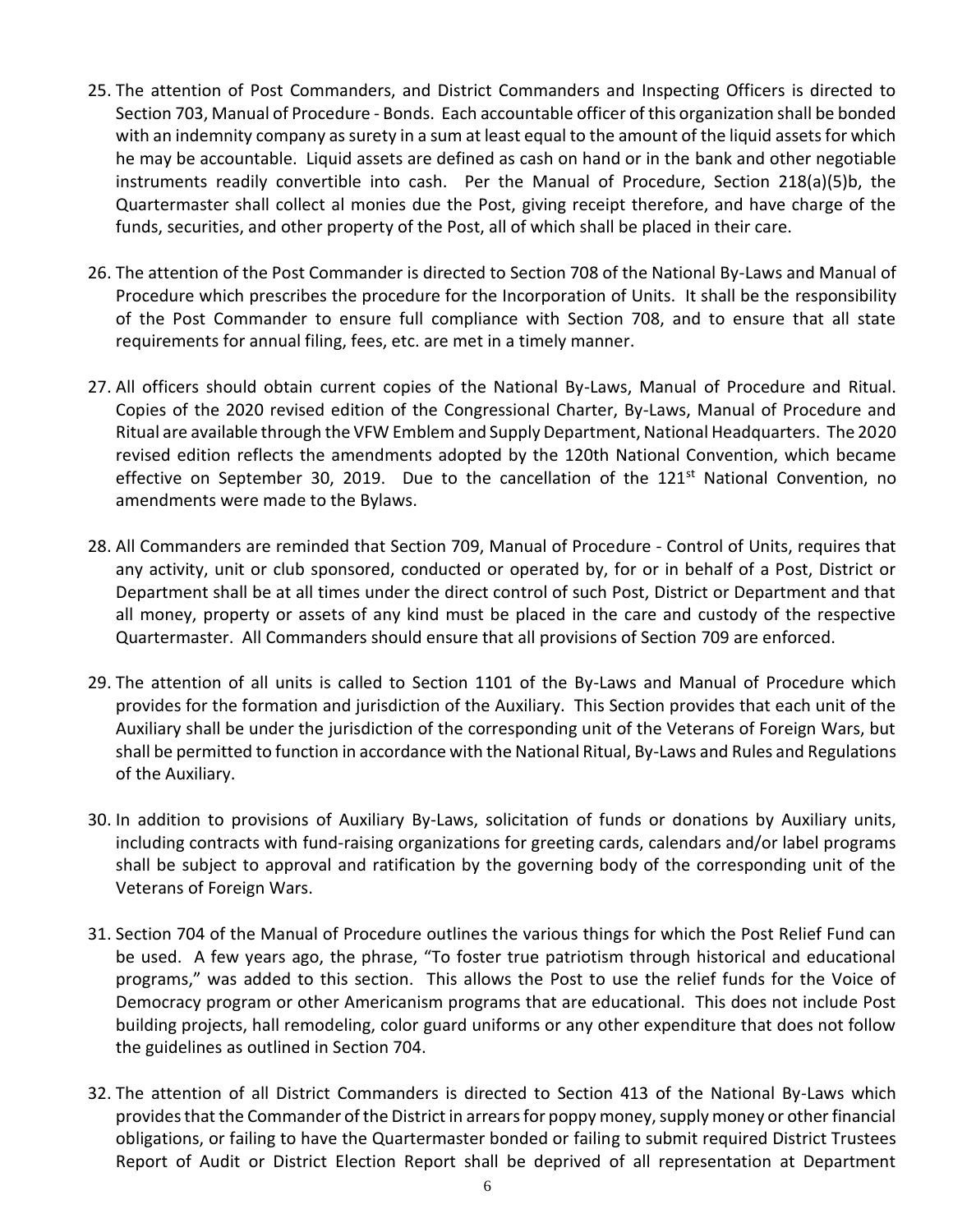- 25. The attention of Post Commanders, and District Commanders and Inspecting Officers is directed to Section 703, Manual of Procedure - Bonds. Each accountable officer of this organization shall be bonded with an indemnity company as surety in a sum at least equal to the amount of the liquid assets for which he may be accountable. Liquid assets are defined as cash on hand or in the bank and other negotiable instruments readily convertible into cash. Per the Manual of Procedure, Section 218(a)(5)b, the Quartermaster shall collect al monies due the Post, giving receipt therefore, and have charge of the funds, securities, and other property of the Post, all of which shall be placed in their care.
- 26. The attention of the Post Commander is directed to Section 708 of the National By-Laws and Manual of Procedure which prescribes the procedure for the Incorporation of Units. It shall be the responsibility of the Post Commander to ensure full compliance with Section 708, and to ensure that all state requirements for annual filing, fees, etc. are met in a timely manner.
- 27. All officers should obtain current copies of the National By-Laws, Manual of Procedure and Ritual. Copies of the 2020 revised edition of the Congressional Charter, By-Laws, Manual of Procedure and Ritual are available through the VFW Emblem and Supply Department, National Headquarters. The 2020 revised edition reflects the amendments adopted by the 120th National Convention, which became effective on September 30, 2019. Due to the cancellation of the 121<sup>st</sup> National Convention, no amendments were made to the Bylaws.
- 28. All Commanders are reminded that Section 709, Manual of Procedure Control of Units, requires that any activity, unit or club sponsored, conducted or operated by, for or in behalf of a Post, District or Department shall be at all times under the direct control of such Post, District or Department and that all money, property or assets of any kind must be placed in the care and custody of the respective Quartermaster. All Commanders should ensure that all provisions of Section 709 are enforced.
- 29. The attention of all units is called to Section 1101 of the By-Laws and Manual of Procedure which provides for the formation and jurisdiction of the Auxiliary. This Section provides that each unit of the Auxiliary shall be under the jurisdiction of the corresponding unit of the Veterans of Foreign Wars, but shall be permitted to function in accordance with the National Ritual, By-Laws and Rules and Regulations of the Auxiliary.
- 30. In addition to provisions of Auxiliary By-Laws, solicitation of funds or donations by Auxiliary units, including contracts with fund-raising organizations for greeting cards, calendars and/or label programs shall be subject to approval and ratification by the governing body of the corresponding unit of the Veterans of Foreign Wars.
- 31. Section 704 of the Manual of Procedure outlines the various things for which the Post Relief Fund can be used. A few years ago, the phrase, "To foster true patriotism through historical and educational programs," was added to this section. This allows the Post to use the relief funds for the Voice of Democracy program or other Americanism programs that are educational. This does not include Post building projects, hall remodeling, color guard uniforms or any other expenditure that does not follow the guidelines as outlined in Section 704.
- 32. The attention of all District Commanders is directed to Section 413 of the National By-Laws which provides that the Commander of the District in arrears for poppy money, supply money or other financial obligations, or failing to have the Quartermaster bonded or failing to submit required District Trustees Report of Audit or District Election Report shall be deprived of all representation at Department